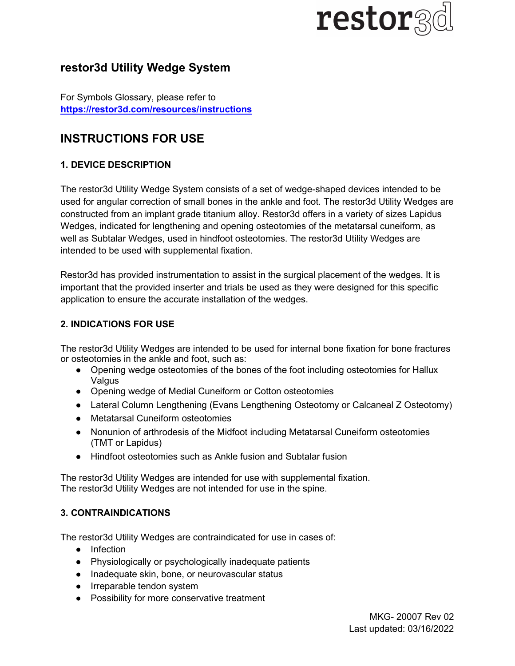# **restor**

# restor3d Utility Wedge System

For Symbols Glossary, please refer to https://restor3d.com/resources/instructions

# INSTRUCTIONS FOR USE

# 1. DEVICE DESCRIPTION

The restor3d Utility Wedge System consists of a set of wedge-shaped devices intended to be used for angular correction of small bones in the ankle and foot. The restor3d Utility Wedges are constructed from an implant grade titanium alloy. Restor3d offers in a variety of sizes Lapidus Wedges, indicated for lengthening and opening osteotomies of the metatarsal cuneiform, as well as Subtalar Wedges, used in hindfoot osteotomies. The restor3d Utility Wedges are intended to be used with supplemental fixation.

Restor3d has provided instrumentation to assist in the surgical placement of the wedges. It is important that the provided inserter and trials be used as they were designed for this specific application to ensure the accurate installation of the wedges.

#### 2. INDICATIONS FOR USE

The restor3d Utility Wedges are intended to be used for internal bone fixation for bone fractures or osteotomies in the ankle and foot, such as:

- Opening wedge osteotomies of the bones of the foot including osteotomies for Hallux Valgus
- Opening wedge of Medial Cuneiform or Cotton osteotomies
- Lateral Column Lengthening (Evans Lengthening Osteotomy or Calcaneal Z Osteotomy)
- Metatarsal Cuneiform osteotomies
- Nonunion of arthrodesis of the Midfoot including Metatarsal Cuneiform osteotomies (TMT or Lapidus)
- Hindfoot osteotomies such as Ankle fusion and Subtalar fusion

The restor3d Utility Wedges are intended for use with supplemental fixation. The restor3d Utility Wedges are not intended for use in the spine.

#### 3. CONTRAINDICATIONS

The restor3d Utility Wedges are contraindicated for use in cases of:

- Infection
- Physiologically or psychologically inadequate patients
- Inadequate skin, bone, or neurovascular status
- Irreparable tendon system
- Possibility for more conservative treatment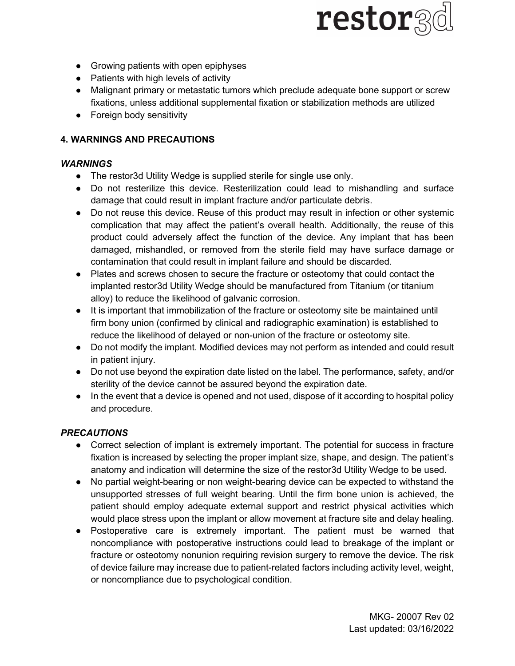

- Growing patients with open epiphyses
- Patients with high levels of activity
- Malignant primary or metastatic tumors which preclude adequate bone support or screw fixations, unless additional supplemental fixation or stabilization methods are utilized
- Foreign body sensitivity

#### 4. WARNINGS AND PRECAUTIONS

#### WARNINGS

- The restor3d Utility Wedge is supplied sterile for single use only.
- Do not resterilize this device. Resterilization could lead to mishandling and surface damage that could result in implant fracture and/or particulate debris.
- Do not reuse this device. Reuse of this product may result in infection or other systemic complication that may affect the patient's overall health. Additionally, the reuse of this product could adversely affect the function of the device. Any implant that has been damaged, mishandled, or removed from the sterile field may have surface damage or contamination that could result in implant failure and should be discarded.
- Plates and screws chosen to secure the fracture or osteotomy that could contact the implanted restor3d Utility Wedge should be manufactured from Titanium (or titanium alloy) to reduce the likelihood of galvanic corrosion.
- It is important that immobilization of the fracture or osteotomy site be maintained until firm bony union (confirmed by clinical and radiographic examination) is established to reduce the likelihood of delayed or non-union of the fracture or osteotomy site.
- Do not modify the implant. Modified devices may not perform as intended and could result in patient injury.
- Do not use beyond the expiration date listed on the label. The performance, safety, and/or sterility of the device cannot be assured beyond the expiration date.
- In the event that a device is opened and not used, dispose of it according to hospital policy and procedure.

#### **PRECAUTIONS**

- Correct selection of implant is extremely important. The potential for success in fracture fixation is increased by selecting the proper implant size, shape, and design. The patient's anatomy and indication will determine the size of the restor3d Utility Wedge to be used.
- No partial weight-bearing or non weight-bearing device can be expected to withstand the unsupported stresses of full weight bearing. Until the firm bone union is achieved, the patient should employ adequate external support and restrict physical activities which would place stress upon the implant or allow movement at fracture site and delay healing.
- Postoperative care is extremely important. The patient must be warned that noncompliance with postoperative instructions could lead to breakage of the implant or fracture or osteotomy nonunion requiring revision surgery to remove the device. The risk of device failure may increase due to patient-related factors including activity level, weight, or noncompliance due to psychological condition.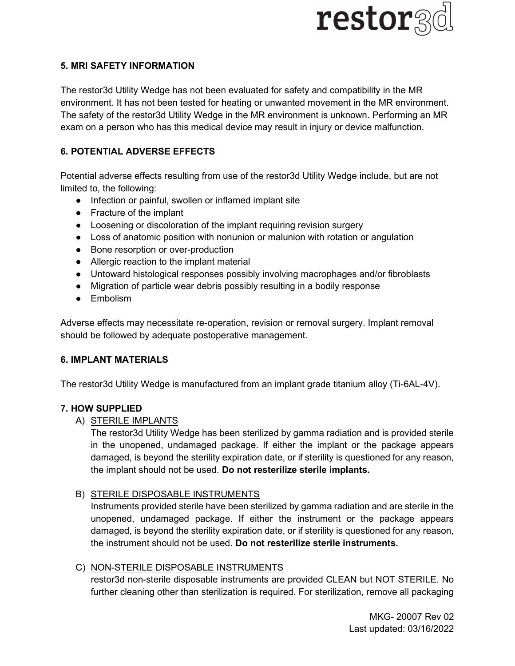

#### 5. MRI SAFETY INFORMATION

The restor3d Utility Wedge has not been evaluated for safety and compatibility in the MR environment. It has not been tested for heating or unwanted movement in the MR environment. The safety of the restor3d Utility Wedge in the MR environment is unknown. Performing an MR exam on a person who has this medical device may result in injury or device malfunction.

# 6. POTENTIAL ADVERSE EFFECTS

Potential adverse effects resulting from use of the restor3d Utility Wedge include, but are not limited to, the following:

- Infection or painful, swollen or inflamed implant site
- Fracture of the implant
- Loosening or discoloration of the implant requiring revision surgery
- Loss of anatomic position with nonunion or malunion with rotation or angulation
- Bone resorption or over-production
- Allergic reaction to the implant material
- Untoward histological responses possibly involving macrophages and/or fibroblasts
- Migration of particle wear debris possibly resulting in a bodily response
- Embolism

Adverse effects may necessitate re-operation, revision or removal surgery. Implant removal should be followed by adequate postoperative management.

## 6. IMPLANT MATERIALS

The restor3d Utility Wedge is manufactured from an implant grade titanium alloy (Ti-6AL-4V).

## 7. HOW SUPPLIED

## A) STERILE IMPLANTS

The restor3d Utility Wedge has been sterilized by gamma radiation and is provided sterile in the unopened, undamaged package. If either the implant or the package appears damaged, is beyond the sterility expiration date, or if sterility is questioned for any reason, the implant should not be used. Do not resterilize sterile implants.

## B) STERILE DISPOSABLE INSTRUMENTS

Instruments provided sterile have been sterilized by gamma radiation and are sterile in the unopened, undamaged package. If either the instrument or the package appears damaged, is beyond the sterility expiration date, or if sterility is questioned for any reason, the instrument should not be used. Do not resterilize sterile instruments.

## C) NON-STERILE DISPOSABLE INSTRUMENTS

restor3d non-sterile disposable instruments are provided CLEAN but NOT STERILE. No further cleaning other than sterilization is required. For sterilization, remove all packaging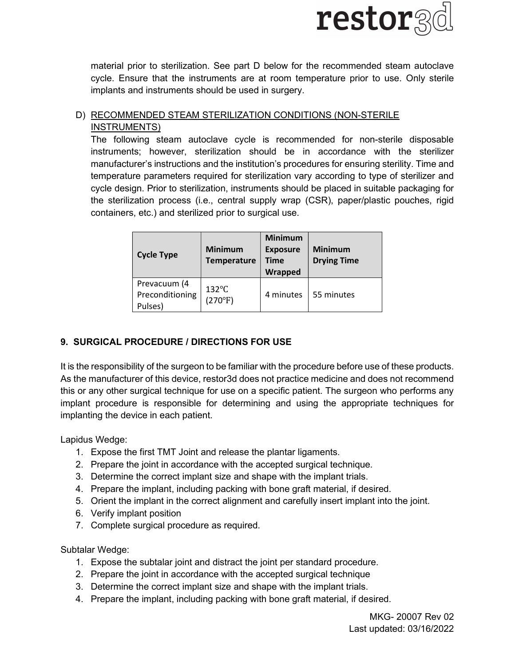

material prior to sterilization. See part D below for the recommended steam autoclave cycle. Ensure that the instruments are at room temperature prior to use. Only sterile implants and instruments should be used in surgery.

# D) RECOMMENDED STEAM STERILIZATION CONDITIONS (NON-STERILE INSTRUMENTS)

The following steam autoclave cycle is recommended for non-sterile disposable instruments; however, sterilization should be in accordance with the sterilizer manufacturer's instructions and the institution's procedures for ensuring sterility. Time and temperature parameters required for sterilization vary according to type of sterilizer and cycle design. Prior to sterilization, instruments should be placed in suitable packaging for the sterilization process (i.e., central supply wrap (CSR), paper/plastic pouches, rigid containers, etc.) and sterilized prior to surgical use.

| <b>Cycle Type</b>                          | <b>Minimum</b><br><b>Temperature</b> | <b>Minimum</b><br><b>Exposure</b><br><b>Time</b><br>Wrapped | <b>Minimum</b><br><b>Drying Time</b> |
|--------------------------------------------|--------------------------------------|-------------------------------------------------------------|--------------------------------------|
| Prevacuum (4<br>Preconditioning<br>Pulses) | $132^{\circ}$ C<br>(270°F)           | 4 minutes                                                   | 55 minutes                           |

# 9. SURGICAL PROCEDURE / DIRECTIONS FOR USE

It is the responsibility of the surgeon to be familiar with the procedure before use of these products. As the manufacturer of this device, restor3d does not practice medicine and does not recommend this or any other surgical technique for use on a specific patient. The surgeon who performs any implant procedure is responsible for determining and using the appropriate techniques for implanting the device in each patient.

Lapidus Wedge:

- 1. Expose the first TMT Joint and release the plantar ligaments.
- 2. Prepare the joint in accordance with the accepted surgical technique.
- 3. Determine the correct implant size and shape with the implant trials.
- 4. Prepare the implant, including packing with bone graft material, if desired.
- 5. Orient the implant in the correct alignment and carefully insert implant into the joint.
- 6. Verify implant position
- 7. Complete surgical procedure as required.

Subtalar Wedge:

- 1. Expose the subtalar joint and distract the joint per standard procedure.
- 2. Prepare the joint in accordance with the accepted surgical technique
- 3. Determine the correct implant size and shape with the implant trials.
- 4. Prepare the implant, including packing with bone graft material, if desired.